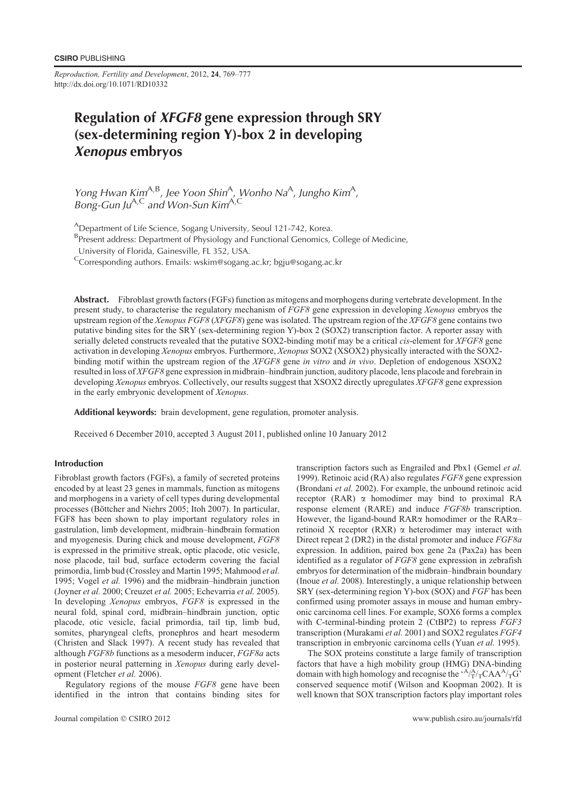*Reproduction, Fertility and Development*, 2012, **24**, 769–777 http://dx.doi.org/10.1071/RD10332

# Regulation of XFGF8 gene expression through SRY (sex-determining region Y)-box 2 in developing Xenopus embryos

Yong Hwan Kim<sup>A,B</sup>, Jee Yoon Shin<sup>A</sup>, Wonho Na<sup>A</sup>, Jungho Kim<sup>A</sup>, Bong-Gun Ju<sup>A,C</sup> and Won-Sun Kim<sup>A,C</sup>

<sup>A</sup>Department of Life Science, Sogang University, Seoul 121-742, Korea.

<sup>B</sup>Present address: Department of Physiology and Functional Genomics, College of Medicine,

University of Florida, Gainesville, FL 352, USA.

<sup>C</sup>Corresponding authors. Emails: wskim@sogang.ac.kr; bgju@sogang.ac.kr

Abstract. Fibroblast growth factors (FGFs) function as mitogens and morphogens during vertebrate development. In the present study, to characterise the regulatory mechanism of *FGF8* gene expression in developing *Xenopus* embryos the upstream region of the *Xenopus FGF8* (*XFGF8*) gene was isolated. The upstream region of the *XFGF8* gene contains two putative binding sites for the SRY (sex-determining region Y)-box 2 (SOX2) transcription factor. A reporter assay with serially deleted constructs revealed that the putative SOX2-binding motif may be a critical *cis*-element for *XFGF8* gene activation in developing *Xenopus* embryos. Furthermore, *Xenopus* SOX2 (XSOX2) physically interacted with the SOX2 binding motif within the upstream region of the *XFGF8* gene *in vitro* and *in vivo*. Depletion of endogenous XSOX2 resulted in loss of *XFGF8* gene expression in midbrain–hindbrain junction, auditory placode, lens placode and forebrain in developing *Xenopus* embryos. Collectively, our results suggest that XSOX2 directly upregulates *XFGF8* gene expression in the early embryonic development of *Xenopus*.

Additional keywords: brain development, gene regulation, promoter analysis.

Received 6 December 2010, accepted 3 August 2011, published online 10 January 2012

# Introduction

Fibroblast growth factors (FGFs), a family of secreted proteins encoded by at least 23 genes in mammals, function as mitogens and morphogens in a variety of cell types during developmental processes (Böttcher and Niehrs 2005; Itoh 2007). In particular, FGF8 has been shown to play important regulatory roles in gastrulation, limb development, midbrain–hindbrain formation and myogenesis. During chick and mouse development, *FGF8* is expressed in the primitive streak, optic placode, otic vesicle, nose placode, tail bud, surface ectoderm covering the facial primordia, limb bud (Crossley and Martin 1995; Mahmood *et al.* 1995; Vogel *et al.* 1996) and the midbrain–hindbrain junction (Joyner *et al.* 2000; Creuzet *et al.* 2005; Echevarria *et al.* 2005). In developing *Xenopus* embryos, *FGF8* is expressed in the neural fold, spinal cord, midbrain–hindbrain junction, optic placode, otic vesicle, facial primordia, tail tip, limb bud, somites, pharyngeal clefts, pronephros and heart mesoderm (Christen and Slack 1997). A recent study has revealed that although *FGF8b* functions as a mesoderm inducer, *FGF8a* acts in posterior neural patterning in *Xenopus* during early development (Fletcher *et al.* 2006).

Regulatory regions of the mouse *FGF8* gene have been identified in the intron that contains binding sites for

1999). Retinoic acid (RA) also regulates *FGF8* gene expression (Brondani *et al.* 2002). For example, the unbound retinoic acid receptor (RAR)  $\alpha$  homodimer may bind to proximal RA response element (RARE) and induce *FGF8b* transcription. However, the ligand-bound RARa homodimer or the RARa– retinoid X receptor (RXR)  $\alpha$  heterodimer may interact with Direct repeat 2 (DR2) in the distal promoter and induce *FGF8a* expression. In addition, paired box gene 2a (Pax2a) has been identified as a regulator of *FGF8* gene expression in zebrafish embryos for determination of the midbrain–hindbrain boundary (Inoue *et al.* 2008). Interestingly, a unique relationship between SRY (sex-determining region Y)-box (SOX) and *FGF* has been confirmed using promoter assays in mouse and human embryonic carcinoma cell lines. For example, SOX6 forms a complex with C-terminal-binding protein 2 (CtBP2) to repress *FGF3* transcription (Murakami *et al.* 2001) and SOX2 regulates *FGF4* transcription in embryonic carcinoma cells (Yuan *et al.* 1995).

transcription factors such as Engrailed and Pbx1 (Gemel *et al.*

The SOX proteins constitute a large family of transcription factors that have a high mobility group (HMG) DNA-binding domain with high homology and recognise the  $A/A/\gamma_{\rm T}C\text{AA}^{\rm A}/\gamma_{\rm T}G$ conserved sequence motif (Wilson and Koopman 2002). It is well known that SOX transcription factors play important roles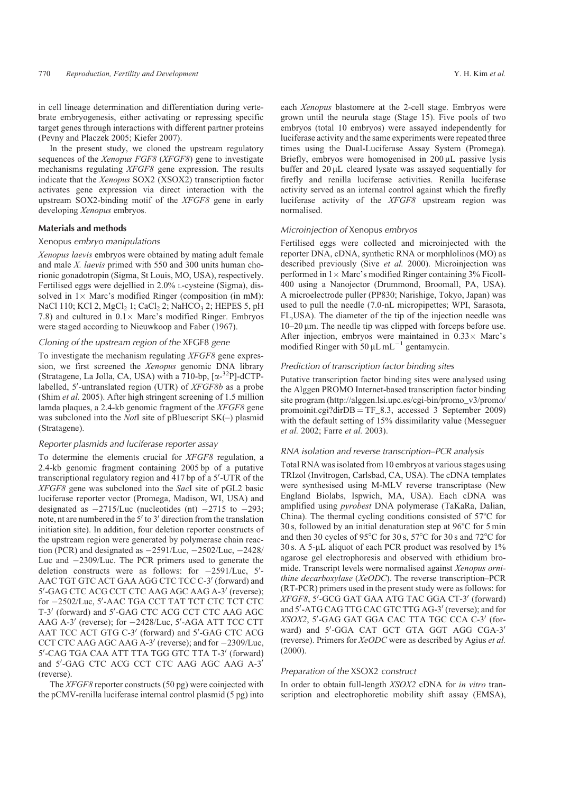in cell lineage determination and differentiation during vertebrate embryogenesis, either activating or repressing specific target genes through interactions with different partner proteins (Pevny and Placzek 2005; Kiefer 2007).

In the present study, we cloned the upstream regulatory sequences of the *Xenopus FGF8* (*XFGF8*) gene to investigate mechanisms regulating *XFGF8* gene expression. The results indicate that the *Xenopus* SOX2 (XSOX2) transcription factor activates gene expression via direct interaction with the upstream SOX2-binding motif of the *XFGF8* gene in early developing *Xenopus* embryos.

## Materials and methods

# Xenopus embryo manipulations

*Xenopus laevis* embryos were obtained by mating adult female and male *X. laevis* primed with 550 and 300 units human chorionic gonadotropin (Sigma, St Louis, MO, USA), respectively. Fertilised eggs were dejellied in 2.0% L-cysteine (Sigma), dissolved in  $1 \times$  Marc's modified Ringer (composition (in mM): NaCl 110; KCl 2, MgCl<sub>2</sub> 1; CaCl<sub>2</sub> 2; NaHCO<sub>3</sub> 2; HEPES 5, pH 7.8) and cultured in  $0.1 \times$  Marc's modified Ringer. Embryos were staged according to Nieuwkoop and Faber (1967).

#### Cloning of the upstream region of the XFGF8 gene

To investigate the mechanism regulating *XFGF8* gene expression, we first screened the *Xenopus* genomic DNA library (Stratagene, La Jolla, CA, USA) with a 710-bp, [x-<sup>32</sup>P]-dCTPlabelled, 5'-untranslated region (UTR) of *XFGF8b* as a probe (Shim *et al.* 2005). After high stringent screening of 1.5 million lamda plaques, a 2.4-kb genomic fragment of the *XFGF8* gene was subcloned into the *Not*I site of pBluescript SK(–) plasmid (Stratagene).

# Reporter plasmids and luciferase reporter assay

To determine the elements crucial for *XFGF8* regulation, a 2.4-kb genomic fragment containing 2005 bp of a putative transcriptional regulatory region and 417 bp of a 5'-UTR of the *XFGF8* gene was subcloned into the *Sac*I site of pGL2 basic luciferase reporter vector (Promega, Madison, WI, USA) and designated as  $-2715$ /Luc (nucleotides (nt)  $-2715$  to  $-293$ ; note, nt are numbered in the  $5'$  to  $3'$  direction from the translation initiation site). In addition, four deletion reporter constructs of the upstream region were generated by polymerase chain reaction (PCR) and designated as  $-2591/Luc$ ,  $-2502/Luc$ ,  $-2428/$ Luc and  $-2309$ /Luc. The PCR primers used to generate the deletion constructs were as follows: for  $-2591/Luc$ ,  $5/200$ AAC TGT GTC ACT GAA AGG CTC TCC C-3' (forward) and 5'-GAG CTC ACG CCT CTC AAG AGC AAG A-3' (reverse); for -2502/Luc, 5'-AAC TGA CCT TAT TCT CTC TCT CTC T-3' (forward) and 5'-GAG CTC ACG CCT CTC AAG AGC AAG A-3' (reverse); for  $-2428/Luc$ , 5'-AGA ATT TCC CTT AAT TCC ACT GTG C-3' (forward) and 5'-GAG CTC ACG CCT CTC AAG AGC AAG A-3' (reverse); and for  $-2309$ /Luc, 5'-CAG TGA CAA ATT TTA TGG GTC TTA T-3' (forward) and 5'-GAG CTC ACG CCT CTC AAG AGC AAG A-3' (reverse).

The *XFGF8* reporter constructs (50 pg) were coinjected with the pCMV-renilla luciferase internal control plasmid (5 pg) into each *Xenopus* blastomere at the 2-cell stage. Embryos were grown until the neurula stage (Stage 15). Five pools of two embryos (total 10 embryos) were assayed independently for luciferase activity and the same experiments were repeated three times using the Dual-Luciferase Assay System (Promega). Briefly, embryos were homogenised in  $200 \mu L$  passive lysis buffer and  $20 \mu L$  cleared lysate was assayed sequentially for firefly and renilla luciferase activities. Renilla luciferase activity served as an internal control against which the firefly luciferase activity of the *XFGF8* upstream region was normalised.

#### Microinjection of Xenopus embryos

Fertilised eggs were collected and microinjected with the reporter DNA, cDNA, synthetic RNA or morphlolinos (MO) as described previously (Sive *et al.* 2000). Microinjection was performed in  $1 \times$  Marc's modified Ringer containing  $3\%$  Ficoll-400 using a Nanojector (Drummond, Broomall, PA, USA). A microelectrode puller (PP830; Narishige, Tokyo, Japan) was used to pull the needle (7.0-nL micropipettes; WPI, Sarasota, FL,USA). The diameter of the tip of the injection needle was  $10-20 \mu m$ . The needle tip was clipped with forceps before use. After injection, embryos were maintained in  $0.33 \times$  Marc's modified Ringer with 50  $\mu$ L mL<sup>-1</sup> gentamycin.

## Prediction of transcription factor binding sites

Putative transcription factor binding sites were analysed using the Alggen PROMO Internet-based transcription factor binding site program [\(http://alggen.lsi.upc.es/cgi-bin/promo\\_v3/promo/](http://alggen.lsi.upc.es/cgi-bin/promo_v3/promo/promoinit.cgi?dirDB) [promoinit.cgi?dirDB](http://alggen.lsi.upc.es/cgi-bin/promo_v3/promo/promoinit.cgi?dirDB) =  $TF_8.3$ , accessed 3 September 2009) with the default setting of 15% dissimilarity value (Messeguer *et al.* 2002; Farre *et al.* 2003).

# RNA isolation and reverse transcription–PCR analysis

Total RNA was isolated from 10 embryos at various stages using TRIzol (Invitrogen, Carlsbad, CA, USA). The cDNA templates were synthesised using M-MLV reverse transcriptase (New England Biolabs, Ispwich, MA, USA). Each cDNA was amplified using *pyrobest* DNA polymerase (TaKaRa, Dalian, China). The thermal cycling conditions consisted of  $57^{\circ}$ C for 30 s, followed by an initial denaturation step at  $96^{\circ}$ C for 5 min and then 30 cycles of 95 $\degree$ C for 30 s, 57 $\degree$ C for 30 s and 72 $\degree$ C for 30 s. A 5-µL aliquot of each PCR product was resolved by  $1\%$ agarose gel electrophoresis and observed with ethidium bromide. Transcript levels were normalised against *Xenopus ornithine decarboxylase* (*XeODC*). The reverse transcription–PCR (RT-PCR) primers used in the present study were as follows: for *XFGF8*, 5'-GCG GAT GAA ATG TAC GGA CT-3' (forward) and 5'-ATG CAG TTG CAC GTC TTG AG-3' (reverse); and for *XSOX2*, 5'-GAG GAT GGA CAC TTA TGC CCA C-3' (forward) and 5'-GGA CAT GCT GTA GGT AGG CGA-3' (reverse). Primers for *XeODC* were as described by Agius *et al.* (2000).

#### Preparation of the XSOX2 construct

In order to obtain full-length *XSOX2* cDNA for *in vitro* transcription and electrophoretic mobility shift assay (EMSA),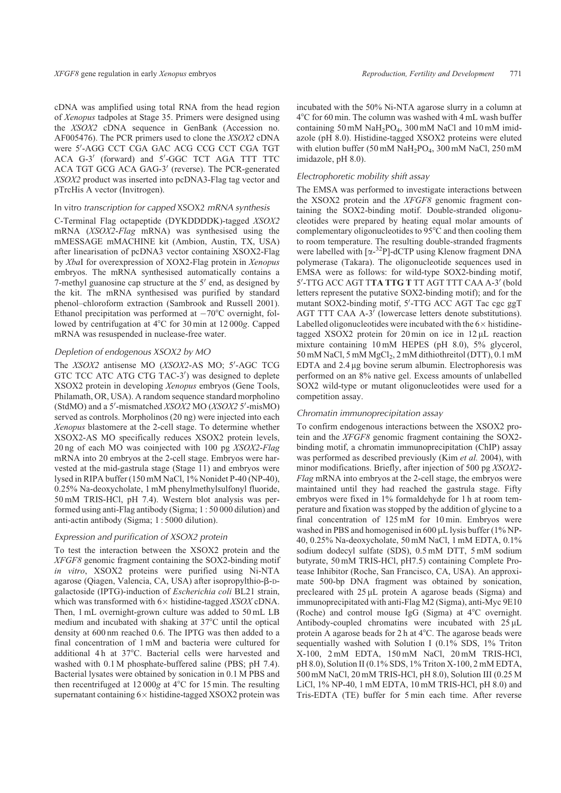cDNA was amplified using total RNA from the head region of *Xenopus* tadpoles at Stage 35. Primers were designed using the *XSOX2* cDNA sequence in GenBank (Accession no. AF005476). The PCR primers used to clone the *XSOX2* cDNA were 5'-AGG CCT CGA GAC ACG CCG CCT CGA TGT ACA G-3' (forward) and 5'-GGC TCT AGA TTT TTC ACA TGT GCG ACA GAG-3' (reverse). The PCR-generated *XSOX2* product was inserted into pcDNA3-Flag tag vector and pTrcHis A vector (Invitrogen).

#### In vitro transcription for capped XSOX2 mRNA synthesis

C-Terminal Flag octapeptide (DYKDDDDK)-tagged *XSOX2* mRNA (*XSOX2*-*Flag* mRNA) was synthesised using the mMESSAGE mMACHINE kit (Ambion, Austin, TX, USA) after linearisation of pcDNA3 vector containing XSOX2-Flag by *Xba*I for overexpression of XOX2-Flag protein in *Xenopus* embryos. The mRNA synthesised automatically contains a 7-methyl guanosine cap structure at the  $5'$  end, as designed by the kit. The mRNA synthesised was purified by standard phenol–chloroform extraction (Sambrook and Russell 2001). Ethanol precipitation was performed at  $-70^{\circ}$ C overnight, followed by centrifugation at 4°C for 30 min at 12 000g. Capped mRNA was resuspended in nuclease-free water.

# Depletion of endogenous XSOX2 by MO

The *XSOX2* antisense MO (*XSOX2-AS* MO; 5'-AGC TCG GTC TCC ATC ATG CTG TAC-3') was designed to deplete XSOX2 protein in developing *Xenopus* embryos (Gene Tools, Philamath, OR, USA). A random sequence standard morpholino (StdMO) and a 5'-mismatched *XSOX2* MO (*XSOX2* 5'-misMO) served as controls. Morpholinos (20 ng) were injected into each *Xenopus* blastomere at the 2-cell stage. To determine whether XSOX2-AS MO specifically reduces XSOX2 protein levels, 20 ng of each MO was coinjected with 100 pg *XSOX2*-*Flag* mRNA into 20 embryos at the 2-cell stage. Embryos were harvested at the mid-gastrula stage (Stage 11) and embryos were lysed in RIPA buffer (150 mM NaCl, 1% Nonidet P-40 (NP-40), 0.25% Na-deoxycholate, 1 mM phenylmethylsulfonyl fluoride, 50 mM TRIS-HCl, pH 7.4). Western blot analysis was performed using anti-Flag antibody (Sigma; 1 : 50 000 dilution) and anti-actin antibody (Sigma; 1 : 5000 dilution).

# Expression and purification of XSOX2 protein

To test the interaction between the XSOX2 protein and the *XFGF8* genomic fragment containing the SOX2-binding motif *in vitro*, XSOX2 proteins were purified using Ni-NTA agarose (Qiagen, Valencia, CA, USA) after isopropylthio- $\beta$ -Dgalactoside (IPTG)-induction of *Escherichia coli* BL21 strain, which was transformed with  $6 \times$  histidine-tagged *XSOX* cDNA. Then, 1 mL overnight-grown culture was added to 50 mL LB medium and incubated with shaking at  $37^{\circ}$ C until the optical density at 600 nm reached 0.6. The IPTG was then added to a final concentration of 1 mM and bacteria were cultured for additional 4h at 37°C. Bacterial cells were harvested and washed with 0.1 M phosphate-buffered saline (PBS; pH 7.4). Bacterial lysates were obtained by sonication in 0.1 M PBS and then recentrifuged at  $12000g$  at  $4^{\circ}$ C for  $15$  min. The resulting supernatant containing  $6 \times$  histidine-tagged XSOX2 protein was incubated with the 50% Ni-NTA agarose slurry in a column at 4°C for 60 min. The column was washed with 4 mL wash buffer containing 50 mM NaH2PO4, 300 mM NaCl and 10 mM imidazole (pH 8.0). Histidine-tagged XSOX2 proteins were eluted with elution buffer (50 mM  $NaH<sub>2</sub>PO<sub>4</sub>$ , 300 mM NaCl, 250 mM imidazole, pH 8.0).

#### Electrophoretic mobility shift assay

The EMSA was performed to investigate interactions between the XSOX2 protein and the *XFGF8* genomic fragment containing the SOX2-binding motif. Double-stranded oligonucleotides were prepared by heating equal molar amounts of complementary oligonucleotides to  $95^{\circ}$ C and then cooling them to room temperature. The resulting double-stranded fragments were labelled with [a-32P]-dCTP using Klenow fragment DNA polymerase (Takara). The oligonucleotide sequences used in EMSA were as follows: for wild-type SOX2-binding motif, 5'-TTG ACC AGT T**TA TTG T** TT AGT TTT CAA A-3' (bold<br>letters represent the putative SOX2-binding motif); and for the letters represent the putative SOX2-binding motif); and for the mutant SOX2-binding motif, 5'-TTG ACC AGT Tac cgc ggT AGT TTT CAA A-3' (lowercase letters denote substitutions). Labelled oligonucleotides were incubated with the  $6 \times$  histidinetagged XSOX2 protein for 20 min on ice in  $12 \mu L$  reaction mixture containing 10 mM HEPES (pH 8.0), 5% glycerol, 50 mM NaCl, 5 mM MgCl<sub>2</sub>, 2 mM dithiothreitol (DTT), 0.1 mM EDTA and  $2.4 \mu$ g bovine serum albumin. Electrophoresis was performed on an 8% native gel. Excess amounts of unlabelled SOX2 wild-type or mutant oligonucleotides were used for a competition assay.

#### Chromatin immunoprecipitation assay

To confirm endogenous interactions between the XSOX2 protein and the *XFGF8* genomic fragment containing the SOX2 binding motif, a chromatin immunoprecipitation (ChIP) assay was performed as described previously (Kim *et al.* 2004), with minor modifications. Briefly, after injection of 500 pg *XSOX2*- *Flag* mRNA into embryos at the 2-cell stage, the embryos were maintained until they had reached the gastrula stage. Fifty embryos were fixed in 1% formaldehyde for 1 h at room temperature and fixation was stopped by the addition of glycine to a final concentration of 125 mM for 10 min. Embryos were washed in PBS and homogenised in  $600 \mu L$  lysis buffer (1% NP-40, 0.25% Na-deoxycholate, 50 mM NaCl, 1 mM EDTA, 0.1% sodium dodecyl sulfate (SDS), 0.5 mM DTT, 5 mM sodium butyrate, 50 mM TRIS-HCl, pH7.5) containing Complete Protease Inhibitor (Roche, San Francisco, CA, USA). An approximate 500-bp DNA fragment was obtained by sonication, precleared with  $25 \mu L$  protein A agarose beads (Sigma) and immunoprecipitated with anti-Flag M2 (Sigma), anti-Myc 9E10 (Roche) and control mouse IgG (Sigma) at  $4^{\circ}$ C overnight. Antibody-coupled chromatins were incubated with  $25 \mu L$ protein A agarose beads for 2 h at  $4^{\circ}$ C. The agarose beads were sequentially washed with Solution I (0.1% SDS, 1% Triton X-100, 2 mM EDTA, 150 mM NaCl, 20 mM TRIS-HCl, pH 8.0), Solution II (0.1% SDS, 1% Triton X-100, 2 mM EDTA, 500 mM NaCl, 20 mM TRIS-HCl, pH 8.0), Solution III (0.25 M LiCl, 1% NP-40, 1 mM EDTA, 10 mM TRIS-HCl, pH 8.0) and Tris-EDTA (TE) buffer for 5 min each time. After reverse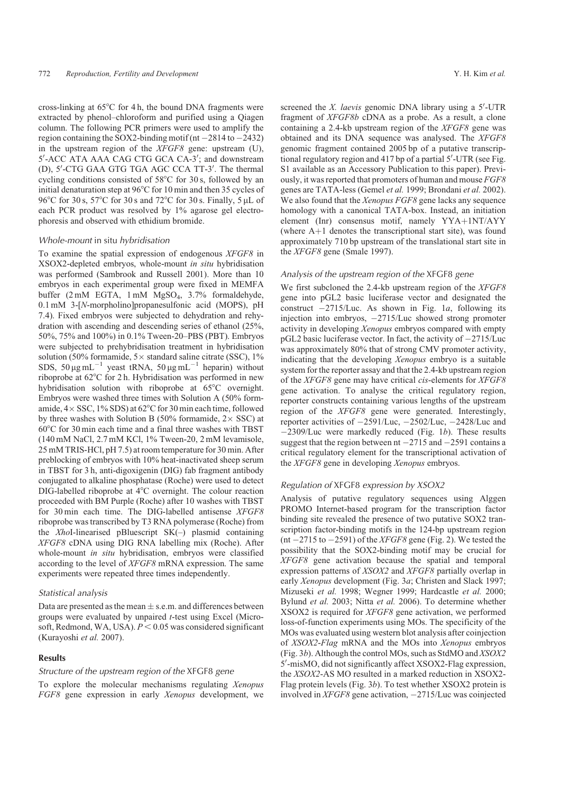cross-linking at  $65^{\circ}$ C for 4 h, the bound DNA fragments were extracted by phenol–chloroform and purified using a Qiagen column. The following PCR primers were used to amplify the region containing the SOX2-binding motif (nt  $-2814$  to  $-2432$ ) in the upstream region of the *XFGF8* gene: upstream (U), 5'-ACC ATA AAA CAG CTG GCA CA-3'; and downstream (D), 5'-CTG GAA GTG TGA AGC CCA TT-3'. The thermal cycling conditions consisted of  $58^{\circ}$ C for 30 s, followed by an initial denaturation step at  $96^{\circ}$ C for 10 min and then 35 cycles of 96°C for 30 s, 57°C for 30 s and 72°C for 30 s. Finally, 5 µL of each PCR product was resolved by 1% agarose gel electrophoresis and observed with ethidium bromide.

#### Whole-mount in situ hybridisation

To examine the spatial expression of endogenous *XFGF8* in XSOX2-depleted embryos, whole-mount *in situ* hybridisation was performed (Sambrook and Russell 2001). More than 10 embryos in each experimental group were fixed in MEMFA buffer (2 mM EGTA, 1 mM MgSO4, 3.7% formaldehyde, 0.1 mM 3-[*N*-morpholino]propanesulfonic acid (MOPS), pH 7.4). Fixed embryos were subjected to dehydration and rehydration with ascending and descending series of ethanol (25%, 50%, 75% and 100%) in 0.1% Tween-20–PBS (PBT). Embryos were subjected to prehybridisation treatment in hybridisation solution (50% formamide,  $5 \times$  standard saline citrate (SSC), 1% SDS, 50  $\mu$ g mL<sup>-1</sup> yeast tRNA, 50  $\mu$ g mL<sup>-1</sup> heparin) without riboprobe at 62°C for 2 h. Hybridisation was performed in new hybridisation solution with riboprobe at 65°C overnight. Embryos were washed three times with Solution A (50% formamide,  $4 \times SSC$ ,  $1\% SDS$ ) at  $62^{\circ}$ C for 30 min each time, followed by three washes with Solution B (50% formamide,  $2 \times$  SSC) at  $60^{\circ}$ C for 30 min each time and a final three washes with TBST (140 mM NaCl, 2.7 mM KCl, 1% Tween-20, 2 mM levamisole, 25 mM TRIS-HCl, pH 7.5) at room temperature for 30 min. After preblocking of embryos with 10% heat-inactivated sheep serum in TBST for 3 h, anti-digoxigenin (DIG) fab fragment antibody conjugated to alkaline phosphatase (Roche) were used to detect DIG-labelled riboprobe at  $4^{\circ}$ C overnight. The colour reaction proceeded with BM Purple (Roche) after 10 washes with TBST for 30 min each time. The DIG-labelled antisense *XFGF8* riboprobe was transcribed by T3 RNA polymerase (Roche) from the *Xho*I-linearised pBluescript SK(–) plasmid containing *XFGF8* cDNA using DIG RNA labelling mix (Roche). After whole-mount *in situ* hybridisation, embryos were classified according to the level of *XFGF8* mRNA expression. The same experiments were repeated three times independently.

#### Statistical analysis

Data are presented as the mean  $\pm$  s.e.m. and differences between groups were evaluated by unpaired *t*-test using Excel (Microsoft, Redmond, WA, USA).  $P \le 0.05$  was considered significant (Kurayoshi *et al.* 2007).

## **Results**

#### Structure of the upstream region of the XFGF8 gene

To explore the molecular mechanisms regulating *Xenopus FGF8* gene expression in early *Xenopus* development, we screened the *X. laevis* genomic DNA library using a 5'-UTR fragment of *XFGF8b* cDNA as a probe. As a result, a clone containing a 2.4-kb upstream region of the *XFGF8* gene was obtained and its DNA sequence was analysed. The *XFGF8* genomic fragment contained 2005 bp of a putative transcriptional regulatory region and  $417$  bp of a partial  $5'$ -UTR (see Fig. S1 available as an Accessory Publication to this paper). Previously, it was reported that promoters of human and mouse *FGF8* genes are TATA-less (Gemel *et al.* 1999; Brondani *et al.* 2002). We also found that the *Xenopus FGF8* gene lacks any sequence homology with a canonical TATA-box. Instead, an initiation element (Inr) consensus motif, namely  $YYA+1NT/AYY$ (where  $A+1$  denotes the transcriptional start site), was found approximately 710 bp upstream of the translational start site in the *XFGF8* gene (Smale 1997).

# Analysis of the upstream region of the XFGF8 gene

We first subcloned the 2.4-kb upstream region of the *XFGF8* gene into pGL2 basic luciferase vector and designated the construct  $-2715$ /Luc. As shown in Fig. 1*a*, following its injection into embryos, 2715/Luc showed strong promoter activity in developing *Xenopus* embryos compared with empty  $pGL2$  basic luciferase vector. In fact, the activity of  $-2715$ /Luc was approximately 80% that of strong CMV promoter activity, indicating that the developing *Xenopus* embryo is a suitable system for the reporter assay and that the 2.4-kb upstream region of the *XFGF8* gene may have critical *cis*-elements for *XFGF8* gene activation. To analyse the critical regulatory region, reporter constructs containing various lengths of the upstream region of the *XFGF8* gene were generated. Interestingly, reporter activities of  $-2591/Luc$ ,  $-2502/Luc$ ,  $-2428/Luc$  and 2309/Luc were markedly reduced (Fig. 1*b*). These results suggest that the region between  $nt -2715$  and  $-2591$  contains a critical regulatory element for the transcriptional activation of the *XFGF8* gene in developing *Xenopus* embryos.

#### Regulation of XFGF8 expression by XSOX2

Analysis of putative regulatory sequences using Alggen PROMO Internet-based program for the transcription factor binding site revealed the presence of two putative SOX2 transcription factor-binding motifs in the 124-bp upstream region  $(nt - 2715 to -2591)$  of the *XFGF8* gene (Fig. 2). We tested the possibility that the SOX2-binding motif may be crucial for *XFGF8* gene activation because the spatial and temporal expression patterns of *XSOX2* and *XFGF8* partially overlap in early *Xenopus* development (Fig. 3*a*; Christen and Slack 1997; Mizuseki *et al.* 1998; Wegner 1999; Hardcastle *et al.* 2000; Bylund *et al.* 2003; Nitta *et al.* 2006). To determine whether XSOX2 is required for *XFGF8* gene activation, we performed loss-of-function experiments using MOs. The specificity of the MOs was evaluated using western blot analysis after coinjection of *XSOX2*-*Flag* mRNA and the MOs into *Xenopus* embryos (Fig. 3*b*). Although the control MOs, such as StdMO and *XSOX2* 5'-misMO, did not significantly affect XSOX2-Flag expression, the *XSOX2*-AS MO resulted in a marked reduction in XSOX2- Flag protein levels (Fig. 3*b*). To test whether XSOX2 protein is involved in *XFGF8* gene activation, -2715/Luc was coinjected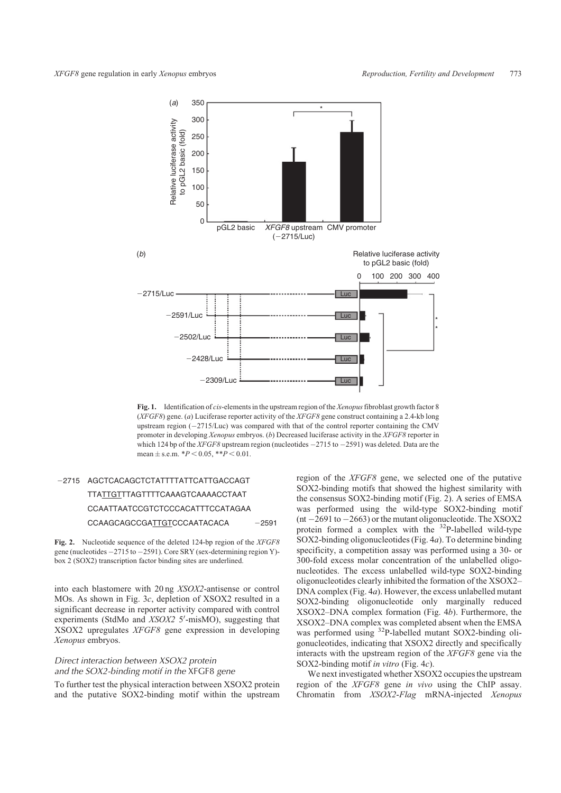

**Fig. 1.** Identification of *cis*-elements in the upstream region of the *Xenopus*fibroblast growth factor 8 (*XFGF8*) gene. (*a*) Luciferase reporter activity of the *XFGF8* gene construct containing a 2.4-kb long upstream region  $(-2715/Luc)$  was compared with that of the control reporter containing the CMV promoter in developing *Xenopus* embryos. (*b*) Decreased luciferase activity in the *XFGF8* reporter in which 124 bp of the *XFGF8* upstream region (nucleotides  $-2715$  to  $-2591$ ) was deleted. Data are the mean  $\pm$  s.e.m.  $*P < 0.05$ ,  $**P < 0.01$ .

# -2715 AGCTCACAGCTCTATTTTATTCATTGACCAGT TTATTGTTTAGTTTTCAAAGTCAAAACCTAAT CCAATTAATCCGTCTCCCACATTTCCATAGAA CCAAGCAGCCGATTGTCCCAATACACA  $-2591$

**Fig. 2.** Nucleotide sequence of the deleted 124-bp region of the *XFGF8* gene (nucleotides -2715 to -2591). Core SRY (sex-determining region Y)box 2 (SOX2) transcription factor binding sites are underlined.

into each blastomere with 20 ng *XSOX2*-antisense or control MOs. As shown in Fig. 3*c*, depletion of XSOX2 resulted in a significant decrease in reporter activity compared with control experiments (StdMo and *XSOX2 5'*-misMO), suggesting that XSOX2 upregulates *XFGF8* gene expression in developing *Xenopus* embryos.

# Direct interaction between XSOX2 protein and the SOX2-binding motif in the XFGF8 gene

To further test the physical interaction between XSOX2 protein and the putative SOX2-binding motif within the upstream region of the *XFGF8* gene, we selected one of the putative SOX2-binding motifs that showed the highest similarity with the consensus SOX2-binding motif (Fig. 2). A series of EMSA was performed using the wild-type SOX2-binding motif (nt  $-2691$  to  $-2663$ ) or the mutant oligonucleotide. The XSOX2 protein formed a complex with the  $32P$ -labelled wild-type SOX2-binding oligonucleotides (Fig. 4*a*). To determine binding specificity, a competition assay was performed using a 30- or 300-fold excess molar concentration of the unlabelled oligonucleotides. The excess unlabelled wild-type SOX2-binding oligonucleotides clearly inhibited the formation of the XSOX2– DNA complex (Fig. 4*a*). However, the excess unlabelled mutant SOX2-binding oligonucleotide only marginally reduced XSOX2–DNA complex formation (Fig. 4*b*). Furthermore, the XSOX2–DNA complex was completed absent when the EMSA was performed using <sup>32</sup>P-labelled mutant SOX2-binding oligonucleotides, indicating that XSOX2 directly and specifically interacts with the upstream region of the *XFGF8* gene via the SOX2-binding motif *in vitro* (Fig. 4*c*).

We next investigated whether XSOX2 occupies the upstream region of the *XFGF8* gene *in vivo* using the ChIP assay. Chromatin from *XSOX2*-*Flag* mRNA-injected *Xenopus*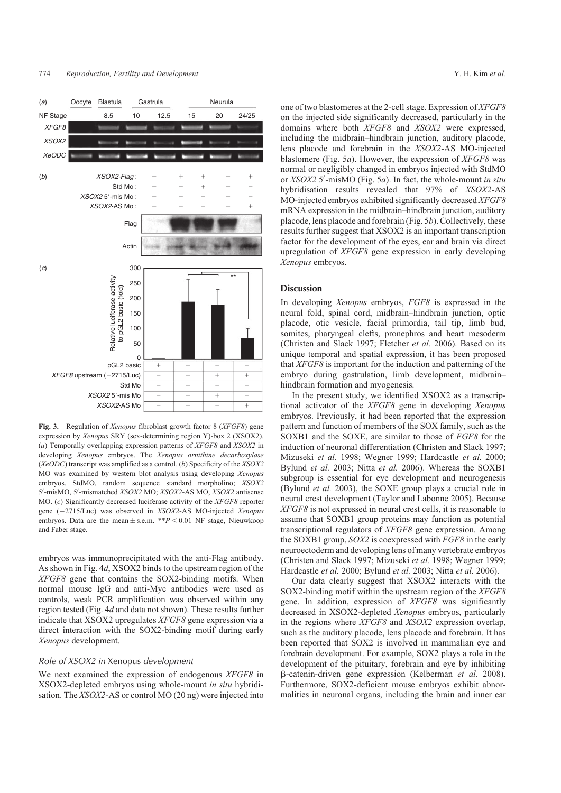#### 774 *Reproduction, Fertility and Development* Y. H. Kim *et al.*



**Fig. 3.** Regulation of *Xenopus* fibroblast growth factor 8 (*XFGF8*) gene expression by *Xenopus* SRY (sex-determining region Y)-box 2 (XSOX2). (*a*) Temporally overlapping expression patterns of *XFGF8* and *XSOX2* in developing *Xenopus* embryos. The *Xenopus ornithine decarboxylase* (*XeODC*) transcript was amplified as a control. (*b*) Specificity of the *XSOX2* MO was examined by western blot analysis using developing *Xenopus* embryos. StdMO, random sequence standard morpholino; *XSOX2* 5'-misMO, 5'-mismatched *XSOX2* MO; *XSOX2*-AS MO, *XSOX2* antisense MO. (*c*) Significantly decreased luciferase activity of the *XFGF8* reporter gene (2715/Luc) was observed in *XSOX2*-AS MO-injected *Xenopus* embryos. Data are the mean  $\pm$  s.e.m. \*\* $P < 0.01$  NF stage, Nieuwkoop and Faber stage.

embryos was immunoprecipitated with the anti-Flag antibody. As shown in Fig. 4*d*, XSOX2 binds to the upstream region of the *XFGF8* gene that contains the SOX2-binding motifs. When normal mouse IgG and anti-Myc antibodies were used as controls, weak PCR amplification was observed within any region tested (Fig. 4*d* and data not shown). These results further indicate that XSOX2 upregulates *XFGF8* gene expression via a direct interaction with the SOX2-binding motif during early *Xenopus* development.

### Role of XSOX2 in Xenopus development

We next examined the expression of endogenous *XFGF8* in XSOX2-depleted embryos using whole-mount *in situ* hybridisation. The *XSOX2*-AS or control MO (20 ng) were injected into

one of two blastomeres at the 2-cell stage. Expression of *XFGF8* on the injected side significantly decreased, particularly in the domains where both *XFGF8* and *XSOX2* were expressed, including the midbrain–hindbrain junction, auditory placode, lens placode and forebrain in the *XSOX2*-AS MO-injected blastomere (Fig. 5*a*). However, the expression of *XFGF8* was normal or negligibly changed in embryos injected with StdMO or *XSOX2* 5'-misMO (Fig. 5*a*). In fact, the whole-mount *in situ* hybridisation results revealed that 97% of *XSOX2*-AS MO-injected embryos exhibited significantly decreased *XFGF8* mRNA expression in the midbrain–hindbrain junction, auditory placode, lens placode and forebrain (Fig. 5*b*). Collectively, these results further suggest that XSOX2 is an important transcription factor for the development of the eyes, ear and brain via direct upregulation of *XFGF8* gene expression in early developing *Xenopus* embryos.

#### **Discussion**

In developing *Xenopus* embryos, *FGF8* is expressed in the neural fold, spinal cord, midbrain–hindbrain junction, optic placode, otic vesicle, facial primordia, tail tip, limb bud, somites, pharyngeal clefts, pronephros and heart mesoderm (Christen and Slack 1997; Fletcher *et al.* 2006). Based on its unique temporal and spatial expression, it has been proposed that *XFGF8* is important for the induction and patterning of the embryo during gastrulation, limb development, midbrain– hindbrain formation and myogenesis.

In the present study, we identified XSOX2 as a transcriptional activator of the *XFGF8* gene in developing *Xenopus* embryos. Previously, it had been reported that the expression pattern and function of members of the SOX family, such as the SOXB1 and the SOXE, are similar to those of *FGF8* for the induction of neuronal differentiation (Christen and Slack 1997; Mizuseki *et al.* 1998; Wegner 1999; Hardcastle *et al.* 2000; Bylund *et al.* 2003; Nitta *et al.* 2006). Whereas the SOXB1 subgroup is essential for eye development and neurogenesis (Bylund *et al.* 2003), the SOXE group plays a crucial role in neural crest development (Taylor and Labonne 2005). Because *XFGF8* is not expressed in neural crest cells, it is reasonable to assume that SOXB1 group proteins may function as potential transcriptional regulators of *XFGF8* gene expression. Among the SOXB1 group, *SOX2* is coexpressed with *FGF8* in the early neuroectoderm and developing lens of many vertebrate embryos (Christen and Slack 1997; Mizuseki *et al.* 1998; Wegner 1999; Hardcastle *et al.* 2000; Bylund *et al.* 2003; Nitta *et al.* 2006).

Our data clearly suggest that XSOX2 interacts with the SOX2-binding motif within the upstream region of the *XFGF8* gene. In addition, expression of *XFGF8* was significantly decreased in XSOX2-depleted *Xenopus* embryos, particularly in the regions where *XFGF8* and *XSOX2* expression overlap, such as the auditory placode, lens placode and forebrain. It has been reported that SOX2 is involved in mammalian eye and forebrain development. For example, SOX2 plays a role in the development of the pituitary, forebrain and eye by inhibiting b-catenin-driven gene expression (Kelberman *et al.* 2008). Furthermore, SOX2-deficient mouse embryos exhibit abnormalities in neuronal organs, including the brain and inner ear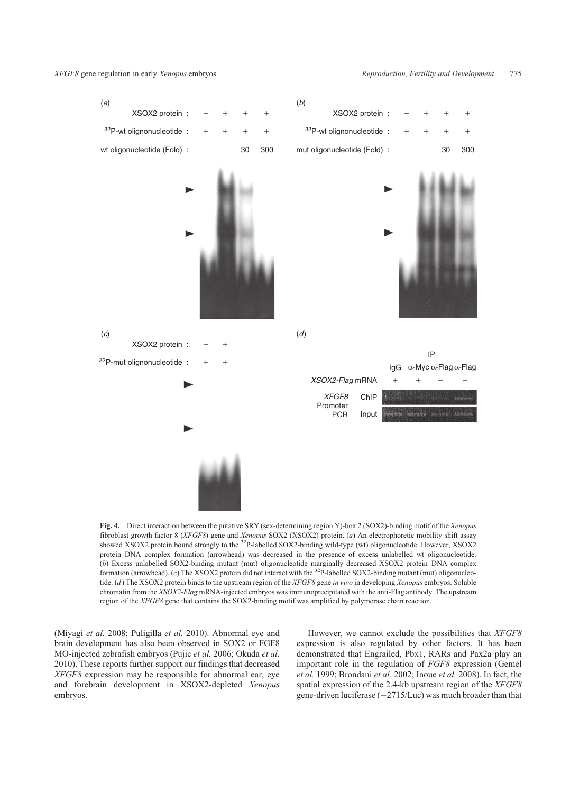*XFGF8* gene regulation in early *Xenopus* embryos *Reproduction, Fertility and Development* 775



**Fig. 4.** Direct interaction between the putative SRY (sex-determining region Y)-box 2 (SOX2)-binding motif of the *Xenopus* fibroblast growth factor 8 (*XFGF8*) gene and *Xenopus* SOX2 (XSOX2) protein. (*a*) An electrophoretic mobility shift assay showed XSOX2 protein bound strongly to the <sup>32</sup>P-labelled SOX2-binding wild-type (wt) oligonucleotide. However, XSOX2 protein–DNA complex formation (arrowhead) was decreased in the presence of excess unlabelled wt oligonucleotide. (*b*) Excess unlabelled SOX2-binding mutant (mut) oligonucleotide marginally decreased XSOX2 protein–DNA complex formation (arrowhead). (*c*) The XSOX2 protein did not interact with the <sup>32</sup>P-labelled SOX2-binding mutant (mut) oligonucleotide. (*d*) The XSOX2 protein binds to the upstream region of the *XFGF8* gene *in vivo* in developing *Xenopus* embryos. Soluble chromatin from the *XSOX2*-*Flag* mRNA-injected embryos was immunoprecipitated with the anti-Flag antibody. The upstream region of the *XFGF8* gene that contains the SOX2-binding motif was amplified by polymerase chain reaction.

(Miyagi *et al.* 2008; Puligilla *et al.* 2010). Abnormal eye and brain development has also been observed in SOX2 or FGF8 MO-injected zebrafish embryos (Pujic *et al.* 2006; Okuda *et al.* 2010). These reports further support our findings that decreased *XFGF8* expression may be responsible for abnormal ear, eye and forebrain development in XSOX2-depleted *Xenopus* embryos.

However, we cannot exclude the possibilities that *XFGF8* expression is also regulated by other factors. It has been demonstrated that Engrailed, Pbx1, RARs and Pax2a play an important role in the regulation of *FGF8* expression (Gemel *et al.* 1999; Brondani *et al.* 2002; Inoue *et al.* 2008). In fact, the spatial expression of the 2.4-kb upstream region of the *XFGF8* gene-driven luciferase  $(-2715/Luc)$  was much broader than that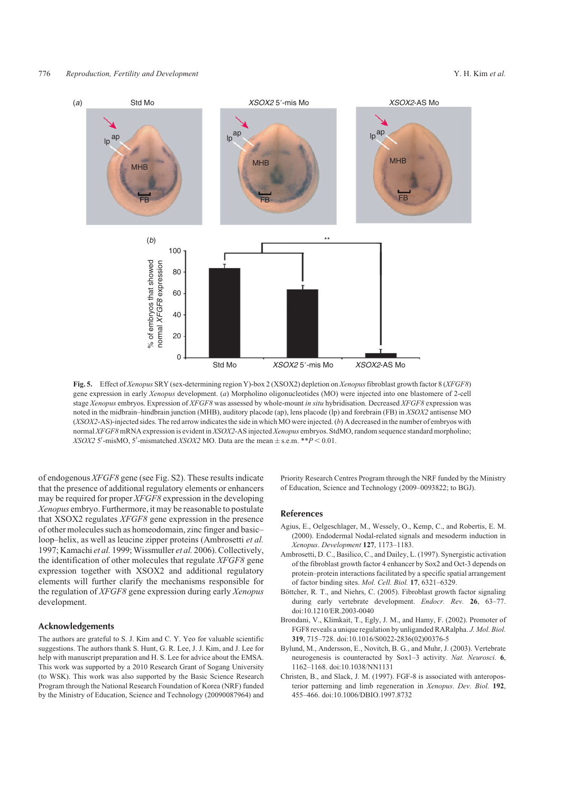

**Fig. 5.** Effect of *Xenopus* SRY (sex-determining region Y)-box 2 (XSOX2) depletion on *Xenopus*fibroblast growth factor 8 (*XFGF8*) gene expression in early *Xenopus* development. (*a*) Morpholino oligonucleotides (MO) were injected into one blastomere of 2-cell stage *Xenopus* embryos. Expression of *XFGF8* was assessed by whole-mount *in situ* hybridisation. Decreased *XFGF8* expression was noted in the midbrain–hindbrain junction (MHB), auditory placode (ap), lens placode (lp) and forebrain (FB) in *XSOX2* antisense MO (*XSOX2*-AS)-injected sides. The red arrow indicates the side in which MO were injected. (*b*) A decreased in the number of embryos with normal *XFGF8*mRNA expression is evident in *XSOX2*-AS injected *Xenopus* embryos. StdMO, random sequence standard morpholino; *XSOX2* 5'-misMO, 5'-mismatched *XSOX2* MO. Data are the mean  $\pm$  s.e.m. \*\* $P < 0.01$ .

of endogenous *XFGF8* gene (see Fig. S2). These results indicate that the presence of additional regulatory elements or enhancers may be required for proper *XFGF8* expression in the developing *Xenopus* embryo. Furthermore, it may be reasonable to postulate that XSOX2 regulates *XFGF8* gene expression in the presence of other molecules such as homeodomain, zinc finger and basic– loop–helix, as well as leucine zipper proteins (Ambrosetti *et al.* 1997; Kamachi *et al.* 1999;Wissmuller *et al.* 2006). Collectively, the identification of other molecules that regulate *XFGF8* gene expression together with XSOX2 and additional regulatory elements will further clarify the mechanisms responsible for the regulation of *XFGF8* gene expression during early *Xenopus* development.

# Acknowledgements

The authors are grateful to S. J. Kim and C. Y. Yeo for valuable scientific suggestions. The authors thank S. Hunt, G. R. Lee, J. J. Kim, and J. Lee for help with manuscript preparation and H. S. Lee for advice about the EMSA. This work was supported by a 2010 Research Grant of Sogang University (to WSK). This work was also supported by the Basic Science Research Program through the National Research Foundation of Korea (NRF) funded by the Ministry of Education, Science and Technology (20090087964) and

Priority Research Centres Program through the NRF funded by the Ministry of Education, Science and Technology (2009–0093822; to BGJ).

#### References

- Agius, E., Oelgeschlager, M., Wessely, O., Kemp, C., and Robertis, E. M. (2000). Endodermal Nodal-related signals and mesoderm induction in *Xenopus*. *Development* **127**, 1173–1183.
- Ambrosetti, D. C., Basilico, C., and Dailey, L. (1997). Synergistic activation of the fibroblast growth factor 4 enhancer by Sox2 and Oct-3 depends on protein–protein interactions facilitated by a specific spatial arrangement of factor binding sites. *Mol. Cell. Biol.* **17**, 6321–6329.
- Böttcher, R. T., and Niehrs, C. (2005). Fibroblast growth factor signaling during early vertebrate development. *Endocr. Rev.* **26**, 63–77. doi:10.1210/ER.2003-0040
- Brondani, V., Klimkait, T., Egly, J. M., and Hamy, F. (2002). Promoter of FGF8 reveals a unique regulation by unliganded RARalpha. *J. Mol. Biol.* **319**, 715–728. doi:10.1016/S0022-2836(02)00376-5
- Bylund, M., Andersson, E., Novitch, B. G., and Muhr, J. (2003). Vertebrate neurogenesis is counteracted by Sox1–3 activity. *Nat. Neurosci.* **6**, 1162–1168. doi:10.1038/NN1131
- Christen, B., and Slack, J. M. (1997). FGF-8 is associated with anteroposterior patterning and limb regeneration in *Xenopus*. *Dev. Biol.* **192**, 455–466. doi:10.1006/DBIO.1997.8732